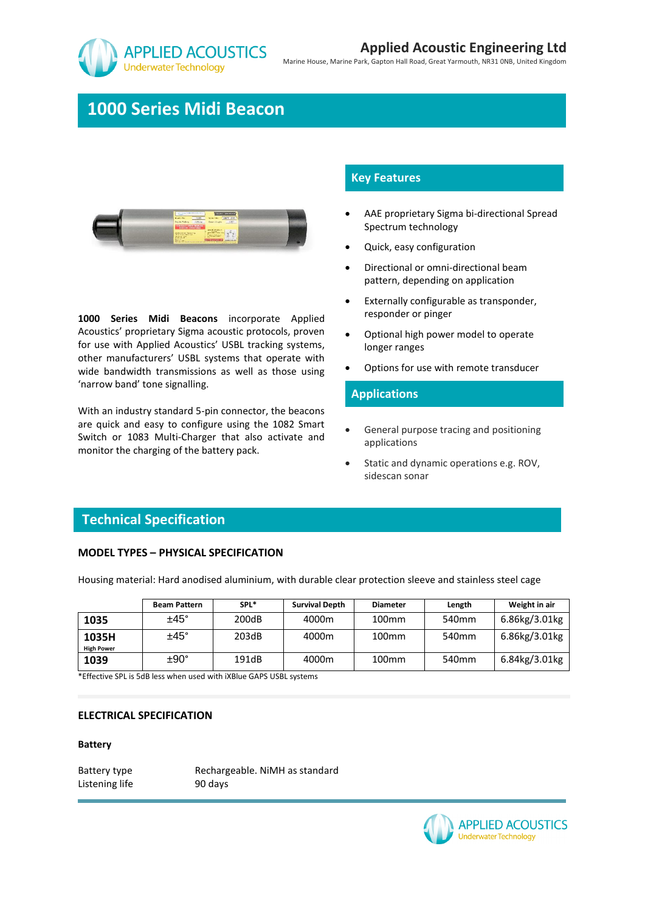

Marine House, Marine Park, Gapton Hall Road, Great Yarmouth, NR31 0NB, United Kingdom

# **1000 Series Midi Beacon**



**1000 Series Midi Beacons** incorporate Applied Acoustics' proprietary Sigma acoustic protocols, proven for use with Applied Acoustics' USBL tracking systems, other manufacturers' USBL systems that operate with wide bandwidth transmissions as well as those using 'narrow band' tone signalling.

With an industry standard 5-pin connector, the beacons are quick and easy to configure using the 1082 Smart Switch or 1083 Multi-Charger that also activate and monitor the charging of the battery pack.

## **Key Features**

- AAE proprietary Sigma bi-directional Spread Spectrum technology
- Quick, easy configuration
- Directional or omni-directional beam pattern, depending on application
- Externally configurable as transponder, responder or pinger
- Optional high power model to operate longer ranges
- Options for use with remote transducer

### **Applications**

- General purpose tracing and positioning applications
- Static and dynamic operations e.g. ROV, sidescan sonar

# **Technical Specification**

### **MODEL TYPES – PHYSICAL SPECIFICATION**

Housing material: Hard anodised aluminium, with durable clear protection sleeve and stainless steel cage

|                   | <b>Beam Pattern</b> | SPL*  | <b>Survival Depth</b> | <b>Diameter</b>   | Length            | Weight in air |
|-------------------|---------------------|-------|-----------------------|-------------------|-------------------|---------------|
| 1035              | $±45^{\circ}$       | 200dB | 4000m                 | 100 <sub>mm</sub> | 540 <sub>mm</sub> | 6.86kg/3.01kg |
| 1035H             | $±45^\circ$         | 203dB | 4000m                 | 100 <sub>mm</sub> | 540 <sub>mm</sub> | 6.86kg/3.01kg |
| <b>High Power</b> |                     |       |                       |                   |                   |               |
| 1039              | $±90^{\circ}$       | 191dB | 4000m                 | 100 <sub>mm</sub> | 540 <sub>mm</sub> | 6.84kg/3.01kg |

\*Effective SPL is 5dB less when used with iXBlue GAPS USBL systems

#### **ELECTRICAL SPECIFICATION**

#### **Battery**

Listening life 90 days

Battery type Rechargeable. NiMH as standard